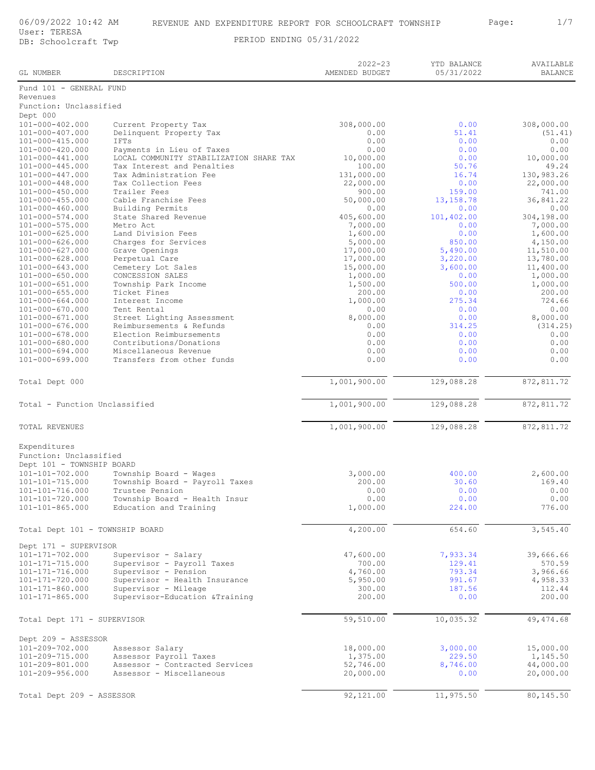## 06/09/2022 10:42 AM REVENUE AND EXPENDITURE REPORT FOR SCHOOLCRAFT TOWNSHIP Page: 1/7

DB: Schoolcraft Twp PERIOD ENDING 05/31/2022

AVAILABLE BALANCE YTD BALANCE 05/31/2022 2022-23 GL NUMBER DESCRIPTION Fund 101 - GENERAL FUND Revenues Function: Unclassified Dept 000<br>101-000-402.000 101-000-402.000 Current Property Tax 308,000.00 0.00 308,000.00 308,000.00 308,000.00<br>101-000-407.000 Delinquent Property Tax 0.00 0.00 51.41 (51.41)<br>101-000-415.000 TETs 1011-000-1012 Delinquent Property Tax 0.00 51.41 (51.41)<br>1718 0.00 0.00 0.00 101-000-415.000 IFTs 0.00 0.00 0.00 101-000-420.000 Payments in Lieu of Taxes 0.00 0.00 0.00 101-000-441.000 LOCAL COMMUNITY STABILIZATION SHARE TAX  $10,000.00$  0.00 0.00 10,000.00<br>101-000-445.000 Tax Interest and Penalties 100.00 100.00 50.76 49.24 101-000-445.000 Tax Interest and Penalties 100.00 50.76 49.24 Tax Administration Fee 131,000.00 16.74 130,983.26<br>
Tax Collection Fees 22,000.00 16.74 22,000.00 101-000-448.000 Tax Collection Fees 22,000.00 22,000.00 22,000.00 22,000.00 22,000.00<br>101-000-450.000 Trailer Fees 900.00 900.00 159.00 741.00 101-000-450.000 Trailer Fees 900.00 159.00 741.00 13,158.78 36,841.22<br>10.00 50,000.00 13,158.78 36,841.22<br>0.00 0.00 101-000-460.000 Building Permits 0.00 0.00 0.00 101-000-574.000 State Shared Revenue 405,600.00 101,402.00 304,198.00 101-000-575.000 Metro Act 7,000.00 0.00 7,000.00 101-000-625.000 Land Division Fees 1,600.00 0.00 1,600.00 101-000-626.000 Charges for Services 5,000.00 850.00 4,150.00 101-000-627.000 Grave Openings 17,000.00 5,490.00 11,510.00 101-000-628.000 Perpetual Care 17,000.00 3,220.00 13,780.00 11,400.00 Cemetery Lot Sales (15,000.00 3,600.00 11,400.00<br>
CONCESSION SALES 1,000.00 0.00 1.000.00 101-000-650.000 COMCESSION SALES<br>
101-000-650.000 CONCESSION SALES<br>
101-000-651.000 Township Park Income<br>
1,500.00 1,500.00 0.00 1,000.00<br>
1,500.00 500.00 1,000.00 101-000-651.000 Township Park Income 1,500.00 500.00 1,000.00 101-000-655.000 Ticket Fines 200.00 0.00 200.00 101-000-664.000 Interest Income 1,000.00 275.34 724.66 101-000-670.000 Tent Rental 0.00 0.00 0.00 101-000 Street Lighting Assessment 6,000.00 0.00 0.00 8,000.00<br>114.25 8,000.00 8,000.00 8,000.00 8,000.00 8,000.00 101-000-676.000 Reimbursements & Refunds 0.00 314.25 (314.25) Election Reimbursements 101-000-680.000 Contributions/Donations 0.00 0.00 0.00 101-000-694.000 Miscellaneous Revenue 0.00 0.00 0.00 Transfers from other funds Total Dept 000 1,001,900.00 129,088.28 872,811.72 Total - Function Unclassified  $\frac{1,001,900.00}{1,001,900.00}$  129,088.28 872,811.72 TOTAL REVENUES 1,001,900.00 129,088.28 872,811.72 Expenditures Function: Unclassified Dept 101 - TOWNSHIP BOARD 101-101-702.000 Township Board - Wages 3,000.00 400.00 400.00 2,600.00<br>101-101-715.000 Township Board - Payroll Taxes 200.00 30.60 30.60 169.40 101-101-715.000 Township Board - Payroll Taxes 200.00 30.60 169.40 101-101-716.000 Trustee Pension 101-101-720.000 Trustee Pension 101-101-720.000 0.00<br>
101-101-720.000 Township Board - Health Insur 10.00 0.00 0.00 0.00 0.00<br>
101-101-865.000 Education and Training 1,000.00 1,000.00 224.00 101-101-720.000 Township Board - Health Insur 0.00 0.00 0.00 101-101-865.000 Education and Training 1,000.00 224.00 776.00 Total Dept 101 - TOWNSHIP BOARD 4,200.00 654.60 654.60 3,545.40 Dept 171 - SUPERVISOR 101-171-702.000 Supervisor - Salary 47,600.00 7,933.34 39,666.66<br>
101-171-715.000 Supervisor - Payroll Taxes 700.00 700.00 129.41 570.59 101-171-715.000 Supervisor - Payroll Taxes 700.00 129.41 570.59 101-171-716.000 Supervisor - Pension 4,760.00 793.34 3,966.66 101-171-720.000 Supervisor - Health Insurance 5,950.00 991.67 4,958.33 101-171-720.000 Supervisor - Mealth Insurance 5,950.00 5,950.00 991.67 4,958.33<br>
101-171-860.000 Supervisor - Mileage 300.00 187.56 112.44<br>
101-171-865.000 Supervisor-Education & Training 200.00 0.00 200.00 200.00 101-171-865.000 Supervisor-Education &Training 200.00 0.00 200.00 Total Dept 171 - SUPERVISOR 69,510.00 59,510.00 10,035.32 49,474.68 Dept 209 - ASSESSOR 101-209-702.000 Assessor Salary 18,000.00 3,000.00 15,000.00<br>
101-209-702.000 Assessor Payroll Taxes 1,375.00 229.50 1,145.50<br>
101-209-801.000 Assessor - Contracted Services 52,746.00 8,746.00 44,000.00<br>
101-209-956.000 As 1,375.00 1,29.50 1,145.50 1,375.00 229.50 1,145.50<br>Assessor - Contracted Services 1,375.00 229.50 1,145.50 101-209-801.000 Assessor - Contracted Services 52,746.00 8,746.00 8,746.00 44,000.00<br>101-209-956.000 Assessor - Miscellaneous 20,000.00 0.00 0.00 20,000.00 101-209-956.000 Assessor - Miscellaneous  $\overline{92,121.00}$   $\overline{11,975.50}$   $\overline{11,975.50}$   $\overline{80,145.50}$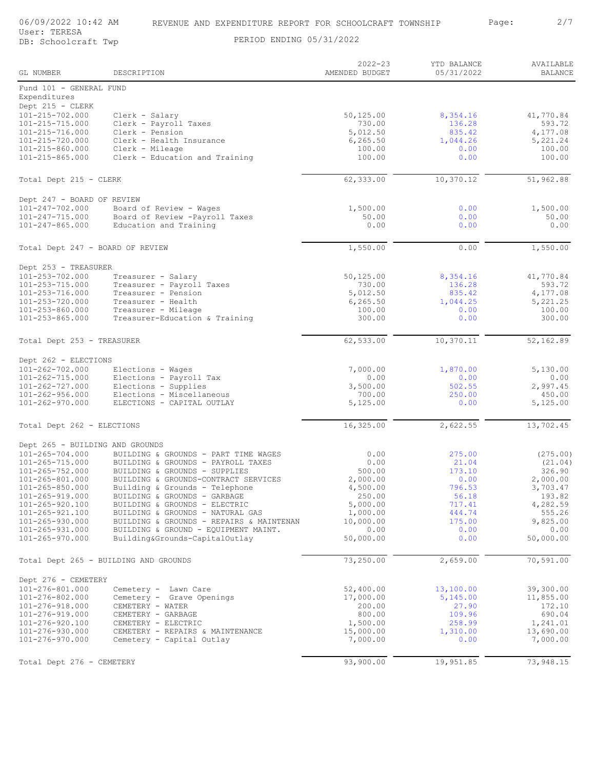| GL NUMBER                             | DESCRIPTION                                                       | $2022 - 23$<br>AMENDED BUDGET | YTD BALANCE<br>05/31/2022 | AVAILABLE<br><b>BALANCE</b> |
|---------------------------------------|-------------------------------------------------------------------|-------------------------------|---------------------------|-----------------------------|
| Fund 101 - GENERAL FUND               |                                                                   |                               |                           |                             |
| Expenditures                          |                                                                   |                               |                           |                             |
| Dept 215 - CLERK                      |                                                                   |                               |                           |                             |
| 101-215-702.000                       | Clerk - Salary                                                    | 50,125.00                     | 8,354.16                  | 41,770.84                   |
| 101-215-715.000<br>101-215-716.000    | Clerk - Payroll Taxes<br>Clerk - Pension                          | 730.00<br>5,012.50            | 136.28<br>835.42          | 593.72                      |
| 101-215-720.000                       | Clerk - Health Insurance                                          | 6, 265.50                     | 1,044.26                  | 4,177.08<br>5,221.24        |
| 101-215-860.000                       | Clerk - Mileage                                                   | 100.00                        | 0.00                      | 100.00                      |
| 101-215-865.000                       | Clerk - Education and Training                                    | 100.00                        | 0.00                      | 100.00                      |
| Total Dept 215 - CLERK                |                                                                   | 62,333.00                     | 10,370.12                 | 51,962.88                   |
| Dept 247 - BOARD OF REVIEW            |                                                                   |                               |                           |                             |
| 101-247-702.000                       | Board of Review - Wages                                           | 1,500.00                      | 0.00                      | 1,500.00                    |
| 101-247-715.000                       | Board of Review -Payroll Taxes                                    | 50.00                         | 0.00                      | 50.00                       |
| $101 - 247 - 865.000$                 | Education and Training                                            | 0.00                          | 0.00                      | 0.00                        |
| Total Dept 247 - BOARD OF REVIEW      |                                                                   | 1,550.00                      | 0.00                      | 1,550.00                    |
|                                       |                                                                   |                               |                           |                             |
| Dept 253 - TREASURER                  |                                                                   |                               |                           |                             |
| 101-253-702.000                       | Treasurer - Salary                                                | 50,125.00                     | 8,354.16                  | 41,770.84                   |
| 101-253-715.000                       | Treasurer - Payroll Taxes                                         | 730.00                        | 136.28                    | 593.72                      |
| 101-253-716.000<br>101-253-720.000    | Treasurer - Pension                                               | 5,012.50<br>6,265.50          | 835.42                    | 4,177.08                    |
| $101 - 253 - 860.000$                 | Treasurer - Health<br>Treasurer - Mileage                         | 100.00                        | 1,044.25<br>0.00          | 5,221.25<br>100.00          |
| $101 - 253 - 865.000$                 | Treasurer-Education & Training                                    | 300.00                        | 0.00                      | 300.00                      |
|                                       |                                                                   |                               |                           |                             |
| Total Dept 253 - TREASURER            |                                                                   | 62,533.00                     | 10,370.11                 | 52, 162.89                  |
| Dept 262 - ELECTIONS                  |                                                                   |                               |                           |                             |
| 101-262-702.000                       | Elections - Wages                                                 | 7,000.00                      | 1,870.00                  | 5,130.00                    |
| 101-262-715.000                       | Elections - Payroll Tax                                           | 0.00                          | 0.00                      | 0.00                        |
| 101-262-727.000                       | Elections - Supplies                                              | 3,500.00                      | 502.55                    | 2,997.45                    |
| $101 - 262 - 956.000$                 | Elections - Miscellaneous                                         | 700.00                        | 250.00                    | 450.00                      |
| $101 - 262 - 970.000$                 | ELECTIONS - CAPITAL OUTLAY                                        | 5,125.00                      | 0.00                      | 5,125.00                    |
| Total Dept 262 - ELECTIONS            |                                                                   | 16,325.00                     | 2,622.55                  | 13,702.45                   |
| Dept 265 - BUILDING AND GROUNDS       |                                                                   |                               |                           |                             |
| $101 - 265 - 704.000$                 | BUILDING & GROUNDS - PART TIME WAGES                              | 0.00                          | 275.00                    | (275.00)                    |
| 101-265-715.000                       | BUILDING & GROUNDS - PAYROLL TAXES                                | 0.00                          | 21.04                     | (21.04)                     |
| 101-265-752.000                       | BUILDING & GROUNDS - SUPPLIES                                     | 500.00                        | 173.10                    | 326.90                      |
| 101-265-801.000                       | BUILDING & GROUNDS-CONTRACT SERVICES                              | 2,000.00                      | 0.00                      | 2,000.00                    |
| $101 - 265 - 850.000$                 | Building & Grounds - Telephone                                    | 4,500.00                      | 796.53                    | 3,703.47                    |
| 101-265-919.000<br>101-265-920.100    | BUILDING & GROUNDS - GARBAGE                                      | 250.00                        | 56.18                     | 193.82                      |
| 101-265-921.100                       | BUILDING & GROUNDS - ELECTRIC<br>BUILDING & GROUNDS - NATURAL GAS | 5,000.00<br>1,000.00          | 717.41<br>444.74          | 4,282.59<br>555.26          |
| 101-265-930.000                       | BUILDING & GROUNDS - REPAIRS & MAINTENAN                          | 10,000.00                     | 175.00                    | 9,825.00                    |
| 101-265-931.000                       | BUILDING & GROUND - EQUIPMENT MAINT.                              | 0.00                          | 0.00                      | 0.00                        |
| 101-265-970.000                       | Building&Grounds-CapitalOutlay                                    | 50,000.00                     | 0.00                      | 50,000.00                   |
| Total Dept 265 - BUILDING AND GROUNDS |                                                                   | 73,250.00                     | 2,659.00                  | 70,591.00                   |
|                                       |                                                                   |                               |                           |                             |
| Dept 276 - CEMETERY                   |                                                                   |                               |                           |                             |
| 101-276-801.000                       | Cemetery - Lawn Care                                              | 52,400.00                     | 13,100.00                 | 39,300.00                   |
| 101-276-802.000                       | Cemetery - Grave Openings                                         | 17,000.00                     | 5,145.00                  | 11,855.00                   |
| 101-276-918.000<br>101-276-919.000    | CEMETERY - WATER                                                  | 200.00<br>800.00              | 27.90<br>109.96           | 172.10<br>690.04            |
| 101-276-920.100                       | CEMETERY - GARBAGE<br>CEMETERY - ELECTRIC                         | 1,500.00                      | 258.99                    | 1,241.01                    |
| 101-276-930.000                       | CEMETERY - REPAIRS & MAINTENANCE                                  | 15,000.00                     | 1,310.00                  | 13,690.00                   |
| 101-276-970.000                       | Cemetery - Capital Outlay                                         | 7,000.00                      | 0.00                      | 7,000.00                    |
|                                       |                                                                   |                               |                           |                             |
| Total Dept 276 - CEMETERY             |                                                                   | 93,900.00                     | 19,951.85                 | 73,948.15                   |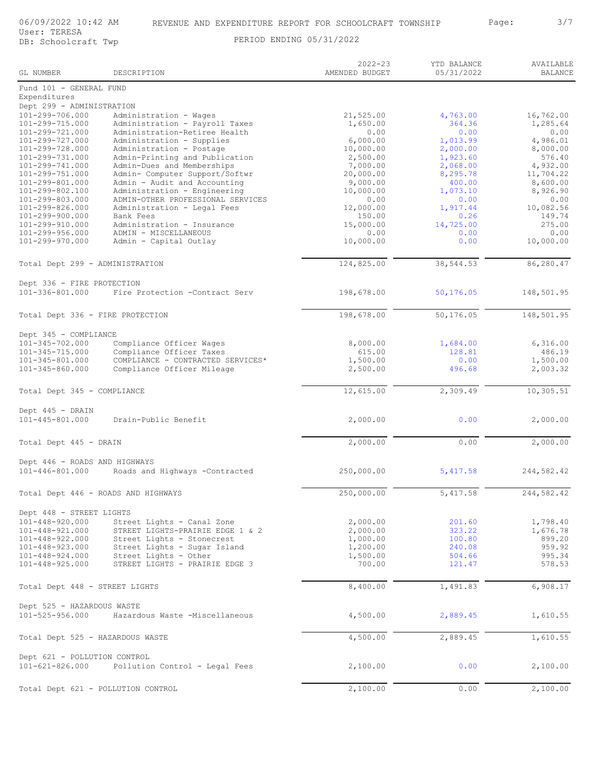| GL NUMBER                               | DESCRIPTION                                                  | $2022 - 23$<br>AMENDED BUDGET | YTD BALANCE<br>05/31/2022 | AVAILABLE<br><b>BALANCE</b> |
|-----------------------------------------|--------------------------------------------------------------|-------------------------------|---------------------------|-----------------------------|
| Fund 101 - GENERAL FUND<br>Expenditures |                                                              |                               |                           |                             |
| Dept 299 - ADMINISTRATION               |                                                              |                               |                           |                             |
| 101-299-706.000                         | Administration - Wages                                       | 21,525.00                     | 4,763.00                  | 16,762.00                   |
| 101-299-715.000                         | Administration - Payroll Taxes                               | 1,650.00                      | 364.36                    | 1,285.64                    |
| 101-299-721.000                         | Administration-Retiree Health                                | 0.00                          | 0.00                      | 0.00                        |
| 101-299-727.000                         | Administration - Supplies                                    | 6,000.00                      | 1,013.99                  | 4,986.01                    |
| 101-299-728.000                         | Administration - Postage                                     | 10,000.00                     | 2,000.00                  | 8,000.00                    |
| 101-299-731.000                         | Admin-Printing and Publication                               | 2,500.00                      | 1,923.60                  | 576.40                      |
| 101-299-741.000                         | Admin-Dues and Memberships                                   | 7,000.00                      | 2,068.00                  | 4,932.00                    |
| 101-299-751.000                         | Admin- Computer Support/Softwr                               | 20,000.00                     | 8,295.78                  | 11,704.22                   |
| 101-299-801.000                         | Admin - Audit and Accounting<br>Administration - Engineering | 9,000.00                      | 400.00                    | 8,600.00                    |
| 101-299-802.100<br>101-299-803.000      | ADMIN-OTHER PROFESSIONAL SERVICES                            | 10,000.00<br>0.00             | 1,073.10<br>0.00          | 8,926.90<br>0.00            |
| 101-299-826.000                         | Administration - Legal Fees                                  | 12,000.00                     | 1,917.44                  | 10,082.56                   |
| 101-299-900.000                         | Bank Fees                                                    | 150.00                        | 0.26                      | 149.74                      |
| 101-299-910.000                         | Administration - Insurance                                   | 15,000.00                     | 14,725.00                 | 275.00                      |
| 101-299-956.000                         | ADMIN - MISCELLANEOUS                                        | 0.00                          | 0.00                      | 0.00                        |
| 101-299-970.000                         | Admin - Capital Outlay                                       | 10,000.00                     | 0.00                      | 10,000.00                   |
|                                         |                                                              |                               |                           |                             |
| Total Dept 299 - ADMINISTRATION         |                                                              | 124,825.00                    | 38, 544.53                | 86,280.47                   |
| Dept 336 - FIRE PROTECTION              |                                                              |                               |                           |                             |
| $101 - 336 - 801.000$                   | Fire Protection -Contract Serv                               | 198,678.00                    | 50,176.05                 | 148,501.95                  |
| Total Dept 336 - FIRE PROTECTION        |                                                              | 198,678.00                    | 50,176.05                 | 148,501.95                  |
|                                         |                                                              |                               |                           |                             |
| Dept 345 - COMPLIANCE                   |                                                              |                               |                           |                             |
| 101-345-702.000                         | Compliance Officer Wages                                     | 8,000.00                      | 1,684.00                  | 6,316.00                    |
| 101-345-715.000                         | Compliance Officer Taxes                                     | 615.00                        | 128.81                    | 486.19                      |
| 101-345-801.000                         | COMPLIANCE - CONTRACTED SERVICES*                            | 1,500.00                      | 0.00                      | 1,500.00                    |
| 101-345-860.000                         | Compliance Officer Mileage                                   | 2,500.00                      | 496.68                    | 2,003.32                    |
| Total Dept 345 - COMPLIANCE             |                                                              | 12,615.00                     | 2,309.49                  | 10,305.51                   |
|                                         |                                                              |                               |                           |                             |
| Dept 445 - DRAIN<br>101-445-801.000     | Drain-Public Benefit                                         | 2,000.00                      | 0.00                      | 2,000.00                    |
| Total Dept 445 - DRAIN                  |                                                              | 2,000.00                      | 0.00                      | 2,000.00                    |
|                                         |                                                              |                               |                           |                             |
| Dept 446 - ROADS AND HIGHWAYS           |                                                              |                               |                           |                             |
| $101 - 446 - 801.000$                   | Roads and Highways -Contracted                               | 250,000.00                    | 5,417.58                  | 244,582.42                  |
| Total Dept 446 - ROADS AND HIGHWAYS     |                                                              | 250,000.00                    | 5, 417.58                 | 244,582.42                  |
|                                         |                                                              |                               |                           |                             |
| Dept 448 - STREET LIGHTS                |                                                              |                               |                           |                             |
| 101-448-920.000                         | Street Lights - Canal Zone                                   | 2,000.00                      | 201.60                    | 1,798.40                    |
| 101-448-921.000                         | STREET LIGHTS-PRAIRIE EDGE 1 & 2                             | 2,000.00                      | 323.22                    | 1,676.78                    |
| 101-448-922.000                         | Street Lights - Stonecrest                                   | 1,000.00                      | 100.80                    | 899.20                      |
| 101-448-923.000                         | Street Lights - Sugar Island                                 | 1,200.00                      | 240.08                    | 959.92                      |
|                                         | 101-448-924.000 Street Lights - Other                        | 1,500.00                      | 504.66                    | 995.34                      |
| $101 - 448 - 925.000$                   | STREET LIGHTS - PRAIRIE EDGE 3                               | 700.00                        | 121.47                    | 578.53                      |
| Total Dept 448 - STREET LIGHTS          |                                                              | 8,400.00                      | 1,491.83                  | 6,908.17                    |
| Dept 525 - HAZARDOUS WASTE              |                                                              |                               |                           |                             |
|                                         | 101-525-956.000 Hazardous Waste -Miscellaneous               | 4,500.00                      | 2,889.45                  | 1,610.55                    |
| Total Dept 525 - HAZARDOUS WASTE        |                                                              | 4,500.00                      | 2,889.45                  | 1,610.55                    |
|                                         |                                                              |                               |                           |                             |
| Dept 621 - POLLUTION CONTROL            | 101-621-826.000 Pollution Control - Legal Fees               | 2,100.00                      | 0.00                      | 2,100.00                    |
|                                         |                                                              |                               |                           |                             |
| Total Dept 621 - POLLUTION CONTROL      |                                                              | 2,100.00                      | 0.00                      | 2,100.00                    |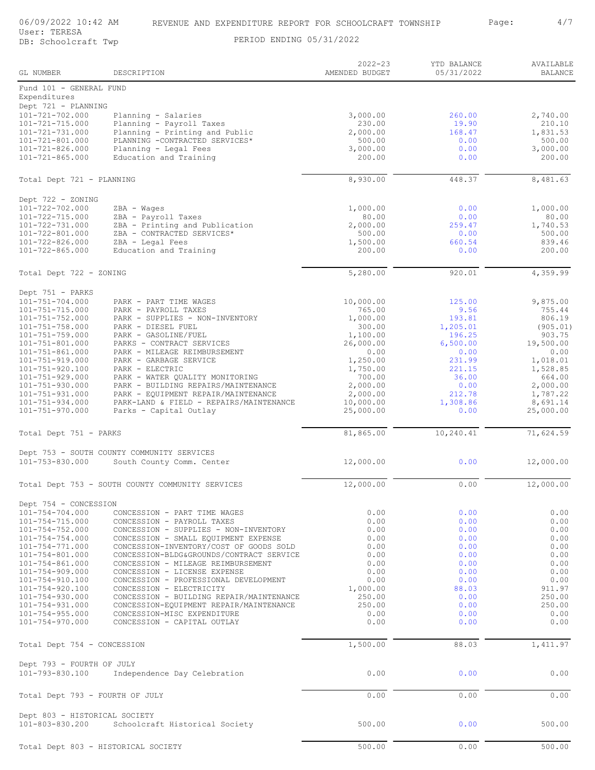06/09/2022 10:42 AM REVENUE AND EXPENDITURE REPORT FOR SCHOOLCRAFT TOWNSHIP Page: 4/7<br>User: TERESA

| ge: | 4/ |
|-----|----|
|-----|----|

| GL NUMBER                                        | DESCRIPTION                                                                         | $2022 - 23$<br>AMENDED BUDGET | YTD BALANCE<br>05/31/2022 | AVAILABLE<br><b>BALANCE</b> |
|--------------------------------------------------|-------------------------------------------------------------------------------------|-------------------------------|---------------------------|-----------------------------|
| Fund 101 - GENERAL FUND<br>Expenditures          |                                                                                     |                               |                           |                             |
| Dept 721 - PLANNING                              |                                                                                     |                               |                           |                             |
| $101 - 721 - 702.000$<br>101-721-715.000         | Planning - Salaries<br>Planning - Payroll Taxes                                     | 3,000.00<br>230.00            | 260.00<br>19.90           | 2,740.00<br>210.10          |
| 101-721-731.000                                  | Planning - Printing and Public                                                      | 2,000.00                      | 168.47                    | 1,831.53                    |
| 101-721-801.000                                  | PLANNING -CONTRACTED SERVICES*                                                      | 500.00                        | 0.00                      | 500.00                      |
| 101-721-826.000                                  | Planning - Legal Fees                                                               | 3,000.00                      | 0.00                      | 3,000.00                    |
| $101 - 721 - 865.000$                            | Education and Training                                                              | 200.00                        | 0.00                      | 200.00                      |
| Total Dept 721 - PLANNING                        |                                                                                     | 8,930.00                      | 448.37                    | 8,481.63                    |
| Dept 722 - ZONING<br>101-722-702.000             | ZBA - Wages                                                                         | 1,000.00                      | 0.00                      | 1,000.00                    |
| 101-722-715.000                                  | ZBA - Payroll Taxes                                                                 | 80.00                         | 0.00                      | 80.00                       |
| 101-722-731.000                                  | ZBA - Printing and Publication                                                      | 2,000.00                      | 259.47                    | 1,740.53                    |
| 101-722-801.000                                  | ZBA - CONTRACTED SERVICES*<br>ZBA - Legal Fees                                      | 500.00                        | 0.00<br>660.54            | 500.00                      |
| 101-722-826.000<br>$101 - 722 - 865.000$         | Education and Training                                                              | 1,500.00<br>200.00            | 0.00                      | 839.46<br>200.00            |
| Total Dept 722 - ZONING                          |                                                                                     | 5,280.00                      | 920.01                    | 4,359.99                    |
| Dept 751 - PARKS                                 |                                                                                     |                               |                           |                             |
| $101 - 751 - 704.000$                            | PARK - PART TIME WAGES                                                              | 10,000.00                     | 125.00                    | 9,875.00                    |
| 101-751-715.000                                  | PARK - PAYROLL TAXES                                                                | 765.00                        | 9.56                      | 755.44                      |
| $101 - 751 - 752.000$                            | PARK - SUPPLIES - NON-INVENTORY                                                     | 1,000.00                      | 193.81                    | 806.19                      |
| $101 - 751 - 758.000$<br>$101 - 751 - 759.000$   | PARK - DIESEL FUEL<br>PARK - GASOLINE/FUEL                                          | 300.00<br>1,100.00            | 1,205.01<br>196.25        | (905.01)<br>903.75          |
| 101-751-801.000                                  | PARKS - CONTRACT SERVICES                                                           | 26,000.00                     | 6,500.00                  | 19,500.00                   |
| $101 - 751 - 861.000$                            | PARK - MILEAGE REIMBURSEMENT                                                        | 0.00                          | 0.00                      | 0.00                        |
| $101 - 751 - 919.000$                            | PARK - GARBAGE SERVICE                                                              | 1,250.00                      | 231.99                    | 1,018.01                    |
| 101-751-920.100<br>$101 - 751 - 929.000$         | PARK - ELECTRIC<br>PARK - WATER QUALITY MONITORING                                  | 1,750.00<br>700.00            | 221.15<br>36.00           | 1,528.85<br>664.00          |
| $101 - 751 - 930.000$                            | PARK - BUILDING REPAIRS/MAINTENANCE                                                 | 2,000.00                      | 0.00                      | 2,000.00                    |
| $101 - 751 - 931.000$                            | PARK - EQUIPMENT REPAIR/MAINTENANCE                                                 | 2,000.00                      | 212.78                    | 1,787.22                    |
| $101 - 751 - 934.000$<br>$101 - 751 - 970.000$   | PARK-LAND & FIELD - REPAIRS/MAINTENANCE<br>Parks - Capital Outlay                   | 10,000.00<br>25,000.00        | 1,308.86<br>0.00          | 8,691.14<br>25,000.00       |
| Total Dept 751 - PARKS                           |                                                                                     | 81,865.00                     | 10,240.41                 | 71,624.59                   |
|                                                  | Dept 753 - SOUTH COUNTY COMMUNITY SERVICES                                          |                               |                           |                             |
| 101-753-830.000                                  | South County Comm. Center                                                           | 12,000.00                     | 0.00                      | 12,000.00                   |
|                                                  | Total Dept 753 - SOUTH COUNTY COMMUNITY SERVICES                                    | 12,000.00                     | 0.00                      | 12,000.00                   |
| Dept 754 - CONCESSION                            |                                                                                     |                               |                           |                             |
| $101 - 754 - 704.000$                            | CONCESSION - PART TIME WAGES                                                        | 0.00                          | 0.00                      | 0.00                        |
| $101 - 754 - 715.000$<br>101-754-752.000         | CONCESSION - PAYROLL TAXES<br>CONCESSION - SUPPLIES - NON-INVENTORY                 | 0.00<br>0.00                  | 0.00<br>0.00              | 0.00<br>0.00                |
| $101 - 754 - 754.000$                            | CONCESSION - SMALL EQUIPMENT EXPENSE                                                | 0.00                          | 0.00                      | 0.00                        |
| 101-754-771.000                                  | CONCESSION-INVENTORY/COST OF GOODS SOLD                                             | 0.00                          | 0.00                      | 0.00                        |
| 101-754-801.000<br>$101 - 754 - 861.000$         | CONCESSION-BLDG&GROUNDS/CONTRACT SERVICE                                            | 0.00                          | 0.00                      | 0.00                        |
| 101-754-909.000                                  | CONCESSION - MILEAGE REIMBURSEMENT<br>CONCESSION - LICENSE EXPENSE                  | 0.00<br>0.00                  | 0.00<br>0.00              | 0.00<br>0.00                |
| 101-754-910.100                                  | CONCESSION - PROFESSIONAL DEVELOPMENT                                               | 0.00                          | 0.00                      | 0.00                        |
| 101-754-920.100                                  | CONCESSION - ELECTRICITY                                                            | 1,000.00                      | 88.03                     | 911.97                      |
| 101-754-930.000<br>101-754-931.000               | CONCESSION - BUILDING REPAIR/MAINTENANCE<br>CONCESSION-EQUIPMENT REPAIR/MAINTENANCE | 250.00<br>250.00              | 0.00<br>0.00              | 250.00<br>250.00            |
| $101 - 754 - 955.000$                            | CONCESSION-MISC EXPENDITURE                                                         | 0.00                          | 0.00                      | 0.00                        |
| 101-754-970.000                                  | CONCESSION - CAPITAL OUTLAY                                                         | 0.00                          | 0.00                      | 0.00                        |
| Total Dept 754 - CONCESSION                      |                                                                                     | 1,500.00                      | 88.03                     | 1,411.97                    |
| Dept 793 - FOURTH OF JULY                        |                                                                                     |                               |                           |                             |
| 101-793-830.100                                  | Independence Day Celebration                                                        | 0.00                          | 0.00                      | 0.00                        |
| Total Dept 793 - FOURTH OF JULY                  |                                                                                     | 0.00                          | 0.00                      | 0.00                        |
| Dept 803 - HISTORICAL SOCIETY<br>101-803-830.200 | Schoolcraft Historical Society                                                      | 500.00                        | 0.00                      | 500.00                      |
| Total Dept 803 - HISTORICAL SOCIETY              |                                                                                     | 500.00                        | 0.00                      | 500.00                      |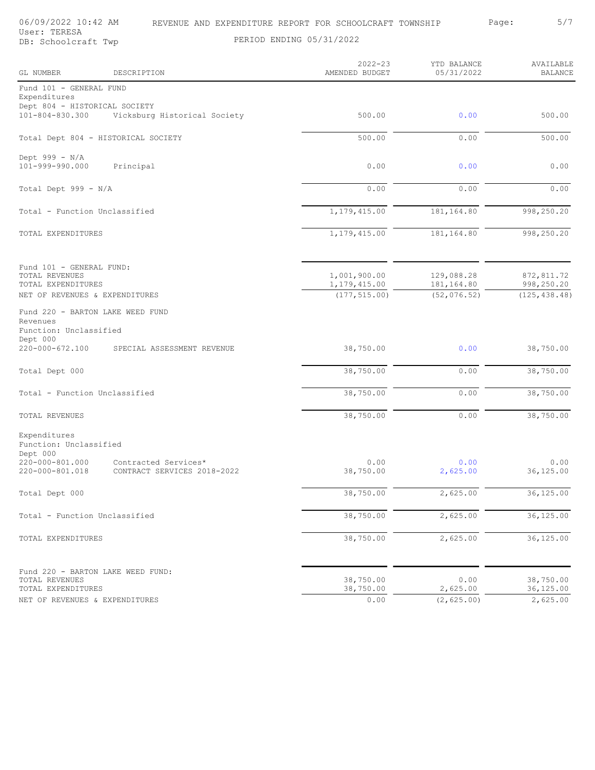User: TERESA

06/09/2022 10:42 AM REVENUE AND EXPENDITURE REPORT FOR SCHOOLCRAFT TOWNSHIP Page: 5/7

| GL NUMBER                                                         | DESCRIPTION                                                    | $2022 - 23$<br>AMENDED BUDGET  | YTD BALANCE<br>05/31/2022 | AVAILABLE<br><b>BALANCE</b> |
|-------------------------------------------------------------------|----------------------------------------------------------------|--------------------------------|---------------------------|-----------------------------|
| Fund 101 - GENERAL FUND<br>Expenditures                           |                                                                |                                |                           |                             |
| Dept 804 - HISTORICAL SOCIETY<br>101-804-830.300                  | Vicksburg Historical Society                                   | 500.00                         | 0.00                      | 500.00                      |
|                                                                   | Total Dept 804 - HISTORICAL SOCIETY                            | 500.00                         | 0.00                      | 500.00                      |
| Dept $999 - N/A$<br>101-999-990.000                               | Principal                                                      | 0.00                           | 0.00                      | 0.00                        |
| Total Dept 999 - N/A                                              |                                                                | 0.00                           | 0.00                      | 0.00                        |
| Total - Function Unclassified                                     |                                                                | 1,179,415.00                   | 181,164.80                | 998,250.20                  |
| TOTAL EXPENDITURES                                                |                                                                | 1, 179, 415.00                 | 181,164.80                | 998,250.20                  |
| Fund 101 - GENERAL FUND:<br>TOTAL REVENUES<br>TOTAL EXPENDITURES  |                                                                | 1,001,900.00<br>1, 179, 415.00 | 129,088.28<br>181,164.80  | 872,811.72<br>998,250.20    |
| NET OF REVENUES & EXPENDITURES                                    |                                                                | (177, 515.00)                  | (52, 076.52)              | (125, 438.48)               |
| Revenues<br>Function: Unclassified<br>Dept 000<br>220-000-672.100 | Fund 220 - BARTON LAKE WEED FUND<br>SPECIAL ASSESSMENT REVENUE | 38,750.00                      | 0.00                      | 38,750.00                   |
|                                                                   |                                                                |                                |                           |                             |
| Total Dept 000                                                    |                                                                | 38,750.00                      | 0.00                      | 38,750.00                   |
| Total - Function Unclassified                                     |                                                                | 38,750.00                      | 0.00                      | 38,750.00                   |
| TOTAL REVENUES                                                    |                                                                | 38,750.00                      | 0.00                      | 38,750.00                   |
| Expenditures<br>Function: Unclassified<br>Dept 000                |                                                                |                                |                           |                             |
| 220-000-801.000<br>220-000-801.018                                | Contracted Services*<br>CONTRACT SERVICES 2018-2022            | 0.00<br>38,750.00              | 0.00<br>2,625.00          | 0.00<br>36,125.00           |
| Total Dept 000                                                    |                                                                | 38,750.00                      | 2,625.00                  | 36,125.00                   |
| Total - Function Unclassified                                     |                                                                | 38,750.00                      | 2,625.00                  | 36,125.00                   |
| TOTAL EXPENDITURES                                                |                                                                | 38,750.00                      | 2,625.00                  | 36,125.00                   |
| TOTAL REVENUES<br>TOTAL EXPENDITURES                              | Fund 220 - BARTON LAKE WEED FUND:                              | 38,750.00<br>38,750.00         | 0.00<br>2,625.00          | 38,750.00<br>36,125.00      |
| NET OF REVENUES & EXPENDITURES                                    |                                                                | 0.00                           | (2, 625.00)               | 2,625.00                    |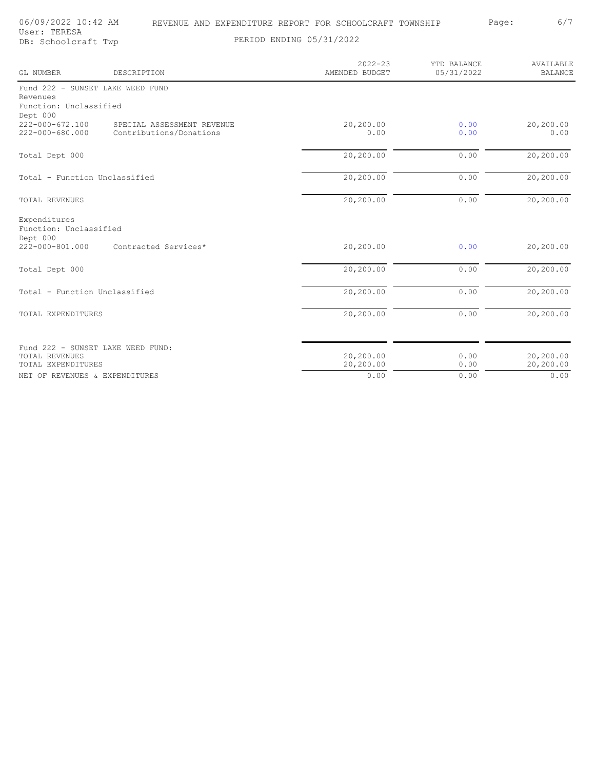06/09/2022 10:42 AM REVENUE AND EXPENDITURE REPORT FOR SCHOOLCRAFT TOWNSHIP Page: 6/7<br>User: TERESA

User: TERESA

DB: Schoolcraft Twp PERIOD ENDING 05/31/2022

2022-23 YTD BALANCE AVAILABLE 05/31/2022 BALANCE  $\overline{\phantom{0}}$ 

| <b>GL NUMBER</b>                                   | DESCRIPTION                       | AMENDED BUDGET | 05/31/2022 | <b>BALANCE</b> |
|----------------------------------------------------|-----------------------------------|----------------|------------|----------------|
|                                                    | Fund 222 - SUNSET LAKE WEED FUND  |                |            |                |
| Revenues                                           |                                   |                |            |                |
| Function: Unclassified<br>Dept 000                 |                                   |                |            |                |
| 222-000-672.100                                    | SPECIAL ASSESSMENT REVENUE        | 20,200.00      | 0.00       | 20,200.00      |
| 222-000-680.000                                    | Contributions/Donations           | 0.00           | 0.00       | 0.00           |
| Total Dept 000                                     |                                   | 20,200.00      | 0.00       | 20,200.00      |
|                                                    |                                   |                |            |                |
| Total - Function Unclassified                      |                                   | 20,200.00      | 0.00       | 20,200.00      |
| <b>TOTAL REVENUES</b>                              |                                   | 20,200.00      | 0.00       | 20,200.00      |
| Expenditures<br>Function: Unclassified<br>Dept 000 |                                   |                |            |                |
| $222 - 000 - 801.000$                              | Contracted Services*              | 20,200.00      | 0.00       | 20,200.00      |
| Total Dept 000                                     |                                   | 20,200.00      | 0.00       | 20,200.00      |
| Total - Function Unclassified                      |                                   | 20,200.00      | 0.00       | 20,200.00      |
| TOTAL EXPENDITURES                                 |                                   | 20,200.00      | 0.00       | 20,200.00      |
|                                                    |                                   |                |            |                |
|                                                    | Fund 222 - SUNSET LAKE WEED FUND: |                |            |                |
| <b>TOTAL REVENUES</b>                              |                                   | 20,200.00      | 0.00       | 20,200.00      |
| TOTAL EXPENDITURES                                 |                                   | 20,200.00      | 0.00       | 20,200.00      |
| NET OF REVENUES & EXPENDITURES                     |                                   | 0.00           | 0.00       | 0.00           |